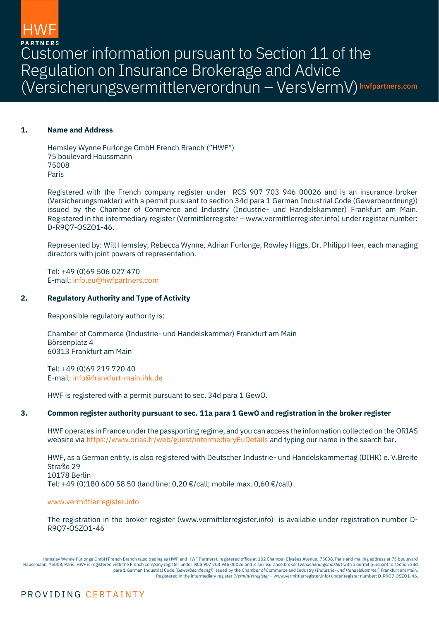Customer information pursuant to Section 11 of the Regulation on Insurance Brokerage and Advice (Versicherungsvermittlerverordnun – VersVermV) hwfpartners.com

# **1. Name and Address**

Hemsley Wynne Furlonge GmbH French Branch ("HWF") 75 boulevard Haussmann 75008 Paris

Registered with the French company register under RCS 907 703 946 00026 and is an insurance broker (Versicherungsmakler) with a permit pursuant to section 34d para 1 German Industrial Code (Gewerbeordnung)) issued by the Chamber of Commerce and Industry (Industrie- und Handelskammer) Frankfurt am Main. Registered in the intermediary register (Vermittlerregister – www.vermittlerregister.info) under register number: D-R9Q7-OSZO1-46.

Represented by: Will Hemsley, Rebecca Wynne, Adrian Furlonge, Rowley Higgs, Dr. Philipp Heer, each managing directors with joint powers of representation.

Tel: +49 (0)69 506 027 470 E-mail[: info.eu@hwfpartners.com](mailto:info.eu@hwfpartners.com)

## **2. Regulatory Authority and Type of Activity**

Responsible regulatory authority is:

Chamber of Commerce (Industrie- und Handelskammer) Frankfurt am Main Börsenplatz 4 60313 Frankfurt am Main

Tel: +49 (0)69 219 720 40 E-mail[: info@frankfurt-main.ihk.de](mailto:info@frankfurt-main.ihk.de)

HWF is registered with a permit pursuant to sec. 34d para 1 GewO.

# **3. Common register authority pursuant to sec. 11a para 1 GewO and registration in the broker register**

HWF operates in France under the passporting regime, and you can access the information collected on the ORIAS website vi[a https://www.orias.fr/web/guest/intermediaryEuDetails](https://www.orias.fr/web/guest/intermediaryEuDetails) and typing our name in the search bar.

HWF, as a German entity, is also registered with Deutscher Industrie- und Handelskammertag (DIHK) e. V.Breite Straße 29 10178 Berlin Tel: +49 (0)180 600 58 50 (land line: 0,20 €/call; mobile max. 0,60 €/call)

[www.vermittlerregister.info](http://www.vermittlerregister.info/)

The registration in the broker register (www.vermittlerregister.info) is available under registration number D-R9Q7-OSZO1-46

Hemsley Wynne Furlonge GmbH French Branch (also trading as HWF and HWF Partners), registered office at 102 Champs- Elysées Avenue, 75008, Paris and mailing address at 75 boulevard Haussmann, 75008, Paris. HWF is registered with the French company register under RCS 907 703 946 00026 and is an insurance broker (*Versicherungsmakler*) with a permit pursuant to section 34d para 1 German Industrial Code (*Gewerbeordnung)*) issued by the Chamber of Commerce and Industry (*Industrie- und Handelskammer*) Frankfurt am Main. Registered in the intermediary register (*Vermittlerregister* – [www.vermittlerregister.info\)](http://www.vermittlerregister.info/) under register number: D-R9Q7-OSZO1-46.